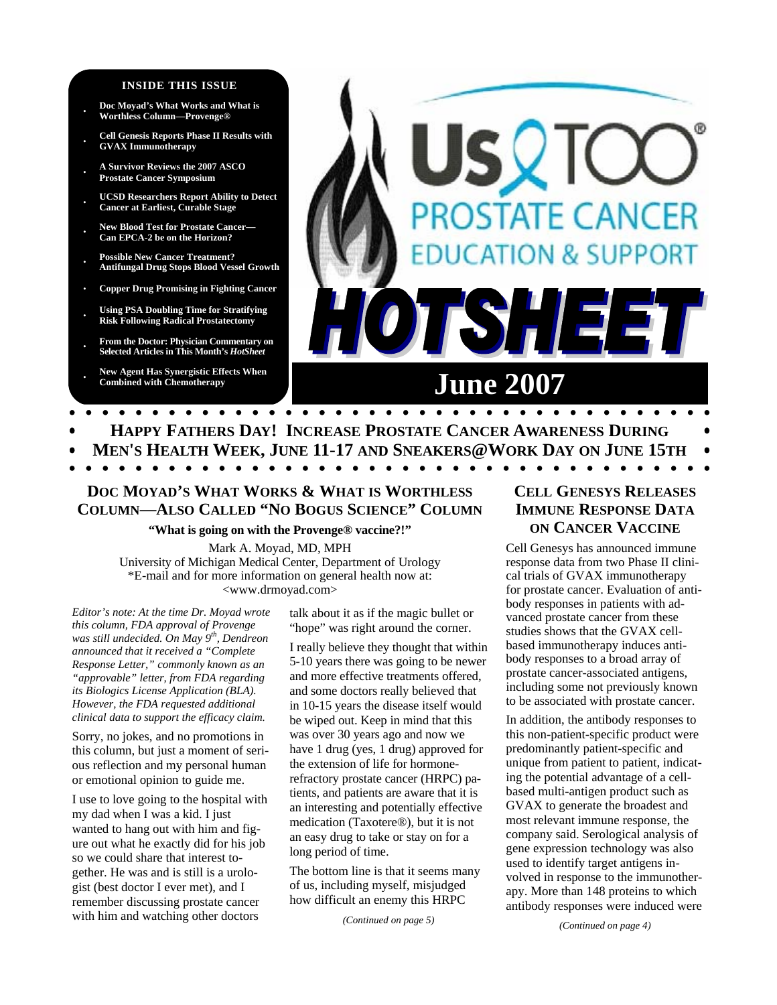#### **INSIDE THIS ISSUE**

- **· Doc Moyad's What Works and What is Worthless Column—Provenge®**
- **· Cell Genesis Reports Phase II Results with GVAX Immunotherapy**
- **· A Survivor Reviews the 2007 ASCO Prostate Cancer Symposium**
- **· UCSD Researchers Report Ability to Detect Cancer at Earliest, Curable Stage**
- **· New Blood Test for Prostate Cancer— Can EPCA-2 be on the Horizon?**
- **· Possible New Cancer Treatment? Antifungal Drug Stops Blood Vessel Growth**
- **· Copper Drug Promising in Fighting Cancer**
- **· Using PSA Doubling Time for Stratifying Risk Following Radical Prostatectomy**
- **· From the Doctor: Physician Commentary on Selected Articles in This Month's** *HotSheet*

**· New Agent Has Synergistic Effects When** 

# STATE CANCER **DN & SUPPORT TSHE June 2007**

- **HAPPY FATHERS DAY! INCREASE PROSTATE CANCER AWARENESS DURING**
- **MEN'S HEALTH WEEK, JUNE 11-17 AND SNEAKERS@WORK DAY ON JUNE 15TH**

 $\bullet$   $\bullet$   $\bullet$ 

 $\bullet\hspace{0.1cm} \bullet\hspace{0.1cm}\bullet\hspace{0.1cm}\bullet\hspace{0.1cm}\bullet\hspace{0.1cm}\bullet\hspace{0.1cm}\bullet$ 

## **DOC MOYAD'S WHAT WORKS & WHAT IS WORTHLESS COLUMN—ALSO CALLED "NO BOGUS SCIENCE" COLUMN**

#### **"What is going on with the Provenge® vaccine?!"**

Mark A. Moyad, MD, MPH University of Michigan Medical Center, Department of Urology \*E-mail and for more information on general health now at: <www.drmoyad.com>

*Editor's note: At the time Dr. Moyad wrote this column, FDA approval of Provenge was still undecided. On May 9th, Dendreon announced that it received a "Complete Response Letter," commonly known as an "approvable" letter, from FDA regarding its Biologics License Application (BLA). However, the FDA requested additional clinical data to support the efficacy claim.* 

Sorry, no jokes, and no promotions in this column, but just a moment of serious reflection and my personal human or emotional opinion to guide me.

I use to love going to the hospital with my dad when I was a kid. I just wanted to hang out with him and figure out what he exactly did for his job so we could share that interest together. He was and is still is a urologist (best doctor I ever met), and I remember discussing prostate cancer with him and watching other doctors

talk about it as if the magic bullet or "hope" was right around the corner.

I really believe they thought that within 5-10 years there was going to be newer and more effective treatments offered, and some doctors really believed that in 10-15 years the disease itself would be wiped out. Keep in mind that this was over 30 years ago and now we have 1 drug (yes, 1 drug) approved for the extension of life for hormonerefractory prostate cancer (HRPC) patients, and patients are aware that it is an interesting and potentially effective medication (Taxotere®), but it is not an easy drug to take or stay on for a long period of time.

The bottom line is that it seems many of us, including myself, misjudged how difficult an enemy this HRPC

*(Continued on page 5)* 

## **CELL GENESYS RELEASES IMMUNE RESPONSE DATA ON CANCER VACCINE**

Cell Genesys has announced immune response data from two Phase II clinical trials of GVAX immunotherapy for prostate cancer. Evaluation of antibody responses in patients with advanced prostate cancer from these studies shows that the GVAX cellbased immunotherapy induces antibody responses to a broad array of prostate cancer-associated antigens, including some not previously known to be associated with prostate cancer.

In addition, the antibody responses to this non-patient-specific product were predominantly patient-specific and unique from patient to patient, indicating the potential advantage of a cellbased multi-antigen product such as GVAX to generate the broadest and most relevant immune response, the company said. Serological analysis of gene expression technology was also used to identify target antigens involved in response to the immunotherapy. More than 148 proteins to which antibody responses were induced were

*(Continued on page 4)*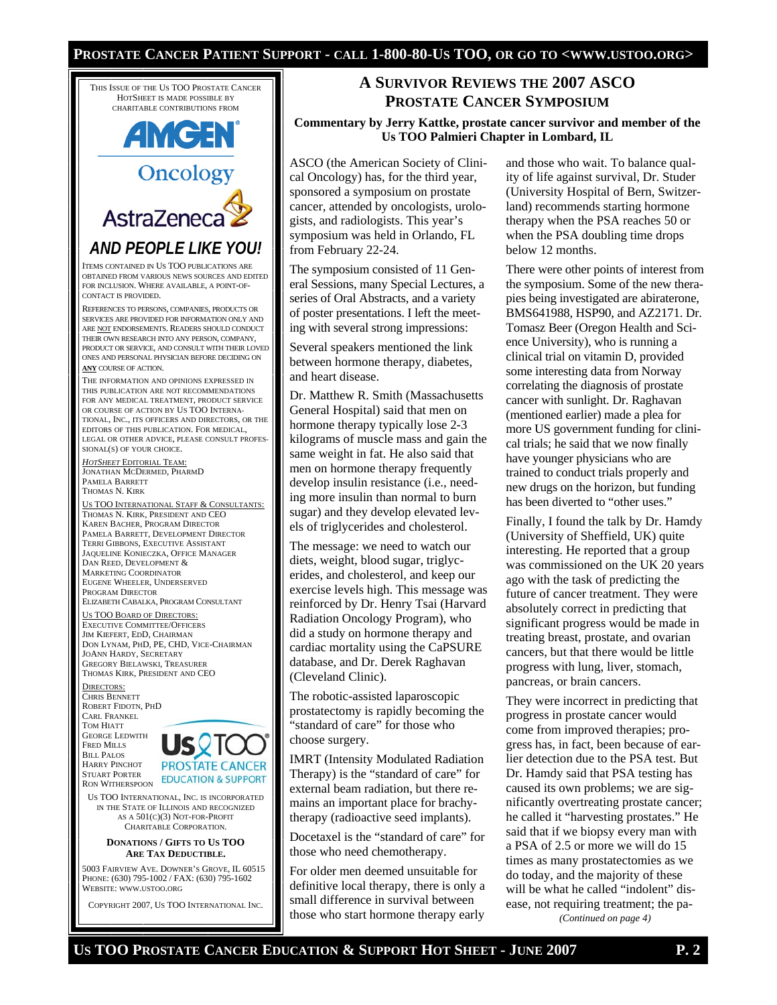#### **PROSTATE CANCER PATIENT SUPPORT - CALL 1-800-80-US TOO, OR GO TO <WWW.USTOO.ORG>**

THIS ISSUE OF THE US TOO PROSTATE CANCER HOTSHEET IS MADE POSSIBLE BY CHARITABLE CONTRIBUTIONS FROM



AstraZeneca *AND PEOPLE LIKE YOU!* 

ITEMS CONTAINED IN US TOO PUBLICATIONS ARE OBTAINED FROM VARIOUS NEWS SOURCES AND EDITED FOR INCLUSION. WHERE AVAILABLE, A POINT-OF-CONTACT IS PROVIDED.

REFERENCES TO PERSONS, COMPANIES, PRODUCTS OR SERVICES ARE PROVIDED FOR INFORMATION ONLY AND ARE NOT ENDORSEMENTS. READERS SHOULD CONDUCT THEIR OWN RESEARCH INTO ANY PERSON, COMPANY, PRODUCT OR SERVICE, AND CONSULT WITH THEIR LOVED ONES AND PERSONAL PHYSICIAN BEFORE DECIDING ON **ANY** COURSE OF ACTION.

THE INFORMATION AND OPINIONS EXPRESSED IN THIS PUBLICATION ARE NOT RECOMMENDATIONS FOR ANY MEDICAL TREATMENT, PRODUCT SERVICE OR COURSE OF ACTION BY US TOO INTERNA-TIONAL, INC., ITS OFFICERS AND DIRECTORS, OR THE EDITORS OF THIS PUBLICATION. FOR MEDICAL, LEGAL OR OTHER ADVICE, PLEASE CONSULT PROFES-SIONAL(S) OF YOUR CHOICE.

*HOTSHEET* EDITORIAL TEAM: JONATHAN MCDERMED, PHARMD PAMELA BARRETT THOMAS N. KIRK

US TOO INTERNATIONAL STAFF & CONSULTANTS: THOMAS N. KIRK, PRESIDENT AND CEO KAREN BACHER, PROGRAM DIRECTOR PAMELA BARRETT, DEVELOPMENT DIRECTOR TERRI GIBBONS, EXECUTIVE ASSISTANT JAQUELINE KONIECZKA, OFFICE MANAGER DAN REED, DEVELOPMENT & MARKETING COORDINATOR EUGENE WHEELER, UNDERSERVED PROGRAM DIRECTOR ELIZABETH CABALKA, PROGRAM CONSULTANT

US TOO BOARD OF DIRECTORS: EXECUTIVE COMMITTEE/OFFICERS JIM KIEFERT, EDD, CHAIRMAN DON LYNAM, PHD, PE, CHD, VICE-CHAIRMAN JOANN HARDY, SECRETARY GREGORY BIELAWSKI, TREASURER THOMAS KIRK, PRESIDENT AND CEO

DIRECTORS: CHRIS BENNETT ROBERT FIDOTN, PHD CARL FRANKEL TOM HIATT GEORGE LEDWITH FRED MILLS

BILL PALOS HARRY PINCHOT STUART PORTER RON WITHERSPOON



US TOO INTERNATIONAL, INC. IS INCORPORATED IN THE STATE OF ILLINOIS AND RECOGNIZED AS A 501(C)(3) NOT-FOR-PROFIT CHARITABLE CORPORATION.

#### **DONATIONS / GIFTS TO US TOO ARE TAX DEDUCTIBLE.**

5003 FAIRVIEW AVE. DOWNER'S GROVE, IL 60515 PHONE: (630) 795-1002 / FAX: (630) 795-1602 WEBSITE: WWW.USTOO.ORG

COPYRIGHT 2007, US TOO INTERNATIONAL INC.

## **A SURVIVOR REVIEWS THE 2007 ASCO PROSTATE CANCER SYMPOSIUM**

**Commentary by Jerry Kattke, prostate cancer survivor and member of the Us TOO Palmieri Chapter in Lombard, IL** 

ASCO (the American Society of Clinical Oncology) has, for the third year, sponsored a symposium on prostate cancer, attended by oncologists, urologists, and radiologists. This year's symposium was held in Orlando, FL from February 22-24.

The symposium consisted of 11 General Sessions, many Special Lectures, a series of Oral Abstracts, and a variety of poster presentations. I left the meeting with several strong impressions:

Several speakers mentioned the link between hormone therapy, diabetes, and heart disease.

Dr. Matthew R. Smith (Massachusetts General Hospital) said that men on hormone therapy typically lose 2-3 kilograms of muscle mass and gain the same weight in fat. He also said that men on hormone therapy frequently develop insulin resistance (i.e., needing more insulin than normal to burn sugar) and they develop elevated levels of triglycerides and cholesterol.

The message: we need to watch our diets, weight, blood sugar, triglycerides, and cholesterol, and keep our exercise levels high. This message was reinforced by Dr. Henry Tsai (Harvard Radiation Oncology Program), who did a study on hormone therapy and cardiac mortality using the CaPSURE database, and Dr. Derek Raghavan (Cleveland Clinic).

The robotic-assisted laparoscopic prostatectomy is rapidly becoming the "standard of care" for those who choose surgery.

IMRT (Intensity Modulated Radiation Therapy) is the "standard of care" for external beam radiation, but there remains an important place for brachytherapy (radioactive seed implants).

Docetaxel is the "standard of care" for those who need chemotherapy.

For older men deemed unsuitable for definitive local therapy, there is only a small difference in survival between those who start hormone therapy early

and those who wait. To balance quality of life against survival, Dr. Studer (University Hospital of Bern, Switzerland) recommends starting hormone therapy when the PSA reaches 50 or when the PSA doubling time drops below 12 months.

There were other points of interest from the symposium. Some of the new therapies being investigated are abiraterone, BMS641988, HSP90, and AZ2171. Dr. Tomasz Beer (Oregon Health and Science University), who is running a clinical trial on vitamin D, provided some interesting data from Norway correlating the diagnosis of prostate cancer with sunlight. Dr. Raghavan (mentioned earlier) made a plea for more US government funding for clinical trials; he said that we now finally have younger physicians who are trained to conduct trials properly and new drugs on the horizon, but funding has been diverted to "other uses."

Finally, I found the talk by Dr. Hamdy (University of Sheffield, UK) quite interesting. He reported that a group was commissioned on the UK 20 years ago with the task of predicting the future of cancer treatment. They were absolutely correct in predicting that significant progress would be made in treating breast, prostate, and ovarian cancers, but that there would be little progress with lung, liver, stomach, pancreas, or brain cancers.

They were incorrect in predicting that progress in prostate cancer would come from improved therapies; progress has, in fact, been because of earlier detection due to the PSA test. But Dr. Hamdy said that PSA testing has caused its own problems; we are significantly overtreating prostate cancer; he called it "harvesting prostates." He said that if we biopsy every man with a PSA of 2.5 or more we will do 15 times as many prostatectomies as we do today, and the majority of these will be what he called "indolent" disease, not requiring treatment; the pa-

*(Continued on page 4)*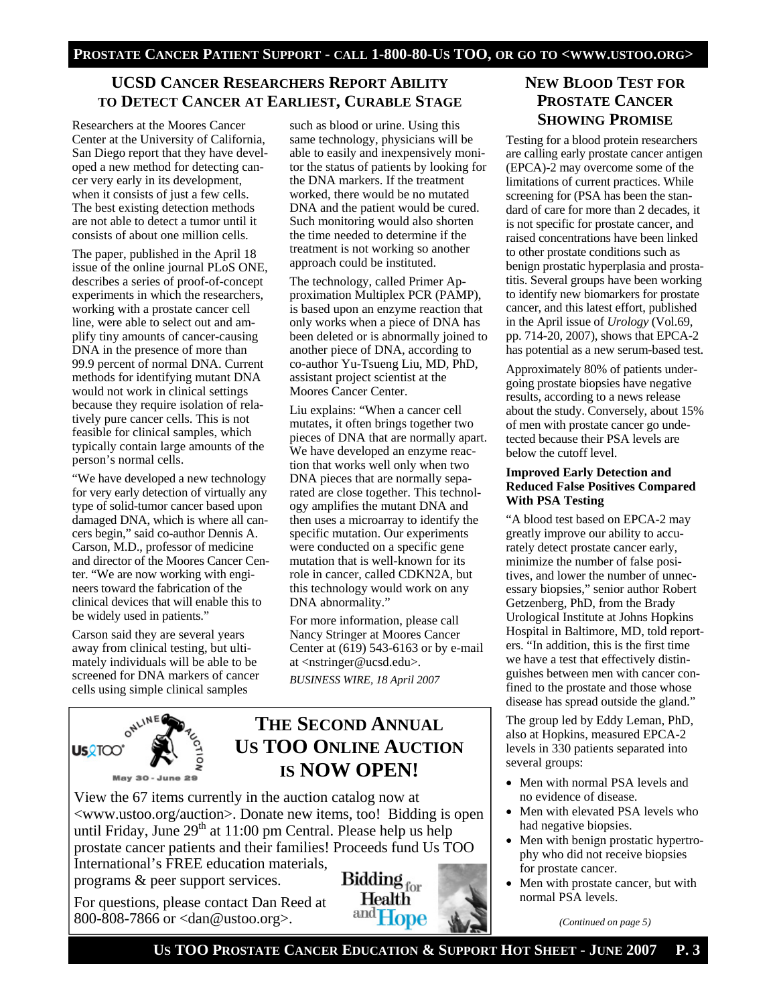## **UCSD CANCER RESEARCHERS REPORT ABILITY TO DETECT CANCER AT EARLIEST, CURABLE STAGE**

Researchers at the Moores Cancer Center at the University of California, San Diego report that they have developed a new method for detecting cancer very early in its development, when it consists of just a few cells. The best existing detection methods are not able to detect a tumor until it consists of about one million cells.

The paper, published in the April 18 issue of the online journal PLoS ONE, describes a series of proof-of-concept experiments in which the researchers, working with a prostate cancer cell line, were able to select out and amplify tiny amounts of cancer-causing DNA in the presence of more than 99.9 percent of normal DNA. Current methods for identifying mutant DNA would not work in clinical settings because they require isolation of relatively pure cancer cells. This is not feasible for clinical samples, which typically contain large amounts of the person's normal cells.

"We have developed a new technology for very early detection of virtually any type of solid-tumor cancer based upon damaged DNA, which is where all cancers begin," said co-author Dennis A. Carson, M.D., professor of medicine and director of the Moores Cancer Center. "We are now working with engineers toward the fabrication of the clinical devices that will enable this to be widely used in patients."

Carson said they are several years away from clinical testing, but ultimately individuals will be able to be screened for DNA markers of cancer cells using simple clinical samples

such as blood or urine. Using this same technology, physicians will be able to easily and inexpensively monitor the status of patients by looking for the DNA markers. If the treatment worked, there would be no mutated DNA and the patient would be cured. Such monitoring would also shorten the time needed to determine if the treatment is not working so another approach could be instituted.

The technology, called Primer Approximation Multiplex PCR (PAMP), is based upon an enzyme reaction that only works when a piece of DNA has been deleted or is abnormally joined to another piece of DNA, according to co-author Yu-Tsueng Liu, MD, PhD, assistant project scientist at the Moores Cancer Center.

Liu explains: "When a cancer cell mutates, it often brings together two pieces of DNA that are normally apart. We have developed an enzyme reaction that works well only when two DNA pieces that are normally separated are close together. This technology amplifies the mutant DNA and then uses a microarray to identify the specific mutation. Our experiments were conducted on a specific gene mutation that is well-known for its role in cancer, called CDKN2A, but this technology would work on any DNA abnormality."

For more information, please call Nancy Stringer at Moores Cancer Center at (619) 543-6163 or by e-mail at <nstringer@ucsd.edu>. *BUSINESS WIRE, 18 April 2007* 



## **THE SECOND ANNUAL US TOO ONLINE AUCTION IS NOW OPEN!**

View the 67 items currently in the auction catalog now at <www.ustoo.org/auction>. Donate new items, too! Bidding is open until Friday, June 29<sup>th</sup> at 11:00 pm Central. Please help us help prostate cancer patients and their families! Proceeds fund Us TOO International's FREE education materials,

programs & peer support services.

For questions, please contact Dan Reed at 800-808-7866 or <dan@ustoo.org>.



## **NEW BLOOD TEST FOR PROSTATE CANCER SHOWING PROMISE**

Testing for a blood protein researchers are calling early prostate cancer antigen (EPCA)-2 may overcome some of the limitations of current practices. While screening for (PSA has been the standard of care for more than 2 decades, it is not specific for prostate cancer, and raised concentrations have been linked to other prostate conditions such as benign prostatic hyperplasia and prostatitis. Several groups have been working to identify new biomarkers for prostate cancer, and this latest effort, published in the April issue of *Urology* (Vol.69, pp. 714-20, 2007), shows that EPCA-2 has potential as a new serum-based test.

Approximately 80% of patients undergoing prostate biopsies have negative results, according to a news release about the study. Conversely, about 15% of men with prostate cancer go undetected because their PSA levels are below the cutoff level.

#### **Improved Early Detection and Reduced False Positives Compared With PSA Testing**

"A blood test based on EPCA-2 may greatly improve our ability to accurately detect prostate cancer early, minimize the number of false positives, and lower the number of unnecessary biopsies," senior author Robert Getzenberg, PhD, from the Brady Urological Institute at Johns Hopkins Hospital in Baltimore, MD, told reporters. "In addition, this is the first time we have a test that effectively distinguishes between men with cancer confined to the prostate and those whose disease has spread outside the gland."

The group led by Eddy Leman, PhD, also at Hopkins, measured EPCA-2 levels in 330 patients separated into several groups:

- Men with normal PSA levels and no evidence of disease.
- Men with elevated PSA levels who had negative biopsies.
- Men with benign prostatic hypertrophy who did not receive biopsies for prostate cancer.
- Men with prostate cancer, but with normal PSA levels.

*(Continued on page 5)*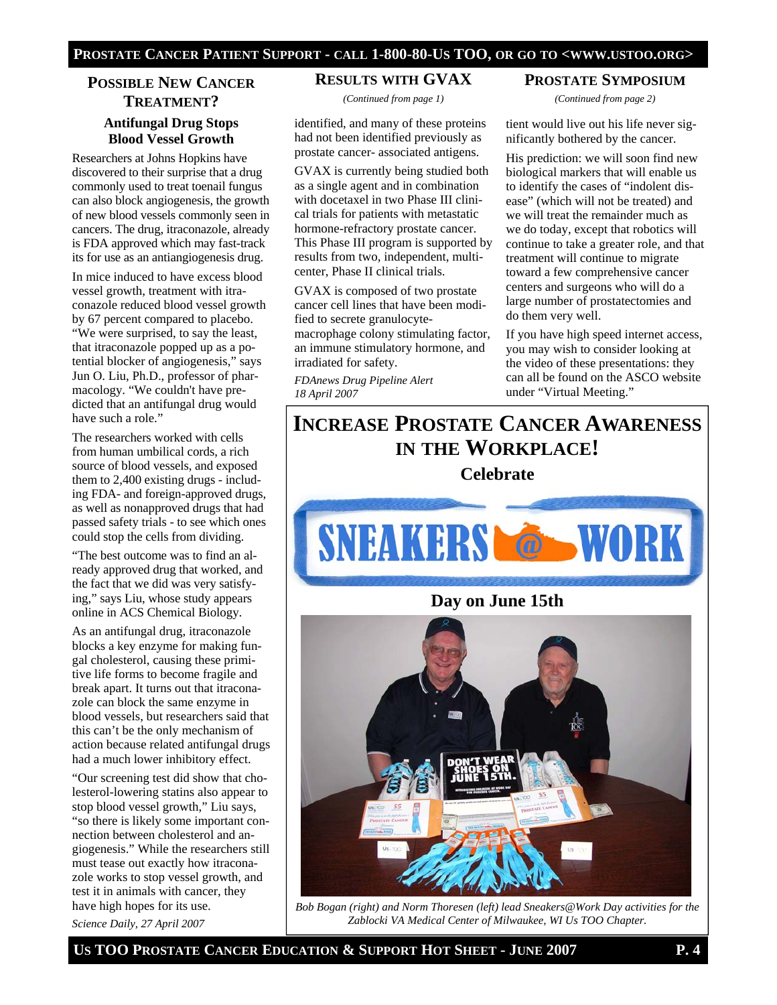#### **PROSTATE CANCER PATIENT SUPPORT - CALL 1-800-80-US TOO, OR GO TO <WWW.USTOO.ORG>**

## **POSSIBLE NEW CANCER TREATMENT? Antifungal Drug Stops Blood Vessel Growth**

Researchers at Johns Hopkins have discovered to their surprise that a drug commonly used to treat toenail fungus can also block angiogenesis, the growth of new blood vessels commonly seen in cancers. The drug, itraconazole, already is FDA approved which may fast-track its for use as an antiangiogenesis drug.

In mice induced to have excess blood vessel growth, treatment with itraconazole reduced blood vessel growth by 67 percent compared to placebo. "We were surprised, to say the least, that itraconazole popped up as a potential blocker of angiogenesis," says Jun O. Liu, Ph.D., professor of pharmacology. "We couldn't have predicted that an antifungal drug would have such a role."

The researchers worked with cells from human umbilical cords, a rich source of blood vessels, and exposed them to 2,400 existing drugs - including FDA- and foreign-approved drugs, as well as nonapproved drugs that had passed safety trials - to see which ones could stop the cells from dividing.

"The best outcome was to find an already approved drug that worked, and the fact that we did was very satisfying," says Liu, whose study appears online in ACS Chemical Biology.

As an antifungal drug, itraconazole blocks a key enzyme for making fungal cholesterol, causing these primitive life forms to become fragile and break apart. It turns out that itraconazole can block the same enzyme in blood vessels, but researchers said that this can't be the only mechanism of action because related antifungal drugs had a much lower inhibitory effect.

"Our screening test did show that cholesterol-lowering statins also appear to stop blood vessel growth," Liu says, "so there is likely some important connection between cholesterol and angiogenesis." While the researchers still must tease out exactly how itraconazole works to stop vessel growth, and test it in animals with cancer, they have high hopes for its use.

*Science Daily, 27 April 2007* 

#### **RESULTS WITH GVAX**

*(Continued from page 1)* 

identified, and many of these proteins had not been identified previously as prostate cancer- associated antigens.

GVAX is currently being studied both as a single agent and in combination with docetaxel in two Phase III clinical trials for patients with metastatic hormone-refractory prostate cancer. This Phase III program is supported by results from two, independent, multicenter, Phase II clinical trials.

GVAX is composed of two prostate cancer cell lines that have been modified to secrete granulocytemacrophage colony stimulating factor, an immune stimulatory hormone, and irradiated for safety.

*FDAnews Drug Pipeline Alert 18 April 2007*

**PROSTATE SYMPOSIUM** *(Continued from page 2)* 

tient would live out his life never significantly bothered by the cancer.

His prediction: we will soon find new biological markers that will enable us to identify the cases of "indolent disease" (which will not be treated) and we will treat the remainder much as we do today, except that robotics will continue to take a greater role, and that treatment will continue to migrate toward a few comprehensive cancer centers and surgeons who will do a large number of prostatectomies and do them very well.

If you have high speed internet access, you may wish to consider looking at the video of these presentations: they can all be found on the ASCO website under "Virtual Meeting."

# **INCREASE PROSTATE CANCER AWARENESS IN THE WORKPLACE!**

### **Celebrate**





*Bob Bogan (right) and Norm Thoresen (left) lead Sneakers@Work Day activities for the Zablocki VA Medical Center of Milwaukee, WI Us TOO Chapter.* 

**US TOO PROSTATE CANCER EDUCATION & SUPPORT HOT SHEET - JUNE 2007 P. 4**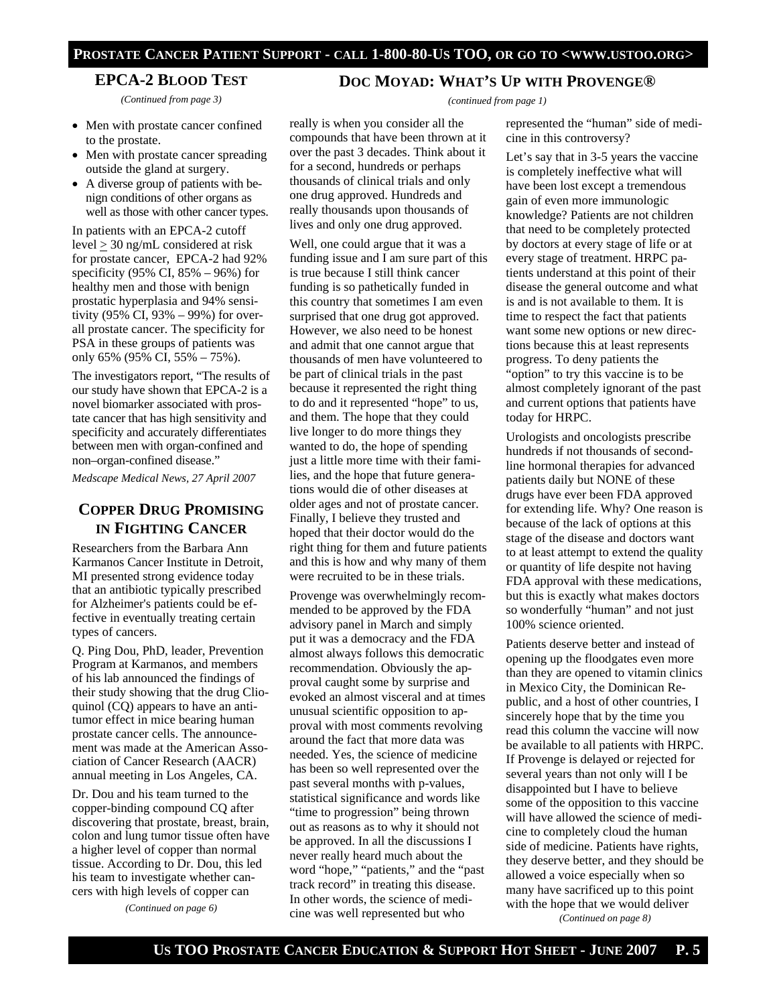#### **PROSTATE CANCER PATIENT SUPPORT - CALL 1-800-80-US TOO, OR GO TO <WWW.USTOO.ORG>**

#### **EPCA-2 BLOOD TEST**

*(Continued from page 3)* 

- Men with prostate cancer confined to the prostate.
- Men with prostate cancer spreading outside the gland at surgery.
- A diverse group of patients with benign conditions of other organs as well as those with other cancer types.

In patients with an EPCA-2 cutoff level > 30 ng/mL considered at risk for prostate cancer, EPCA-2 had 92% specificity (95% CI, 85% – 96%) for healthy men and those with benign prostatic hyperplasia and 94% sensitivity (95% CI, 93% – 99%) for overall prostate cancer. The specificity for PSA in these groups of patients was only 65% (95% CI, 55% – 75%).

The investigators report, "The results of our study have shown that EPCA-2 is a novel biomarker associated with prostate cancer that has high sensitivity and specificity and accurately differentiates between men with organ-confined and non–organ-confined disease."

*Medscape Medical News, 27 April 2007* 

## **COPPER DRUG PROMISING IN FIGHTING CANCER**

Researchers from the Barbara Ann Karmanos Cancer Institute in Detroit, MI presented strong evidence today that an antibiotic typically prescribed for Alzheimer's patients could be effective in eventually treating certain types of cancers.

Q. Ping Dou, PhD, leader, Prevention Program at Karmanos, and members of his lab announced the findings of their study showing that the drug Clioquinol (CQ) appears to have an antitumor effect in mice bearing human prostate cancer cells. The announcement was made at the American Association of Cancer Research (AACR) annual meeting in Los Angeles, CA.

Dr. Dou and his team turned to the copper-binding compound CQ after discovering that prostate, breast, brain, colon and lung tumor tissue often have a higher level of copper than normal tissue. According to Dr. Dou, this led his team to investigate whether cancers with high levels of copper can

*(Continued on page 6)* 

#### **DOC MOYAD: WHAT'S UP WITH PROVENGE®**

*(continued from page 1)* 

really is when you consider all the compounds that have been thrown at it over the past 3 decades. Think about it for a second, hundreds or perhaps thousands of clinical trials and only one drug approved. Hundreds and really thousands upon thousands of lives and only one drug approved.

Well, one could argue that it was a funding issue and I am sure part of this is true because I still think cancer funding is so pathetically funded in this country that sometimes I am even surprised that one drug got approved. However, we also need to be honest and admit that one cannot argue that thousands of men have volunteered to be part of clinical trials in the past because it represented the right thing to do and it represented "hope" to us, and them. The hope that they could live longer to do more things they wanted to do, the hope of spending just a little more time with their families, and the hope that future generations would die of other diseases at older ages and not of prostate cancer. Finally, I believe they trusted and hoped that their doctor would do the right thing for them and future patients and this is how and why many of them were recruited to be in these trials.

Provenge was overwhelmingly recommended to be approved by the FDA advisory panel in March and simply put it was a democracy and the FDA almost always follows this democratic recommendation. Obviously the approval caught some by surprise and evoked an almost visceral and at times unusual scientific opposition to approval with most comments revolving around the fact that more data was needed. Yes, the science of medicine has been so well represented over the past several months with p-values, statistical significance and words like "time to progression" being thrown out as reasons as to why it should not be approved. In all the discussions I never really heard much about the word "hope," "patients," and the "past track record" in treating this disease. In other words, the science of medicine was well represented but who

represented the "human" side of medicine in this controversy?

Let's say that in 3-5 years the vaccine is completely ineffective what will have been lost except a tremendous gain of even more immunologic knowledge? Patients are not children that need to be completely protected by doctors at every stage of life or at every stage of treatment. HRPC patients understand at this point of their disease the general outcome and what is and is not available to them. It is time to respect the fact that patients want some new options or new directions because this at least represents progress. To deny patients the "option" to try this vaccine is to be almost completely ignorant of the past and current options that patients have today for HRPC.

Urologists and oncologists prescribe hundreds if not thousands of secondline hormonal therapies for advanced patients daily but NONE of these drugs have ever been FDA approved for extending life. Why? One reason is because of the lack of options at this stage of the disease and doctors want to at least attempt to extend the quality or quantity of life despite not having FDA approval with these medications, but this is exactly what makes doctors so wonderfully "human" and not just 100% science oriented.

Patients deserve better and instead of opening up the floodgates even more than they are opened to vitamin clinics in Mexico City, the Dominican Republic, and a host of other countries, I sincerely hope that by the time you read this column the vaccine will now be available to all patients with HRPC. If Provenge is delayed or rejected for several years than not only will I be disappointed but I have to believe some of the opposition to this vaccine will have allowed the science of medicine to completely cloud the human side of medicine. Patients have rights, they deserve better, and they should be allowed a voice especially when so many have sacrificed up to this point with the hope that we would deliver

*(Continued on page 8)*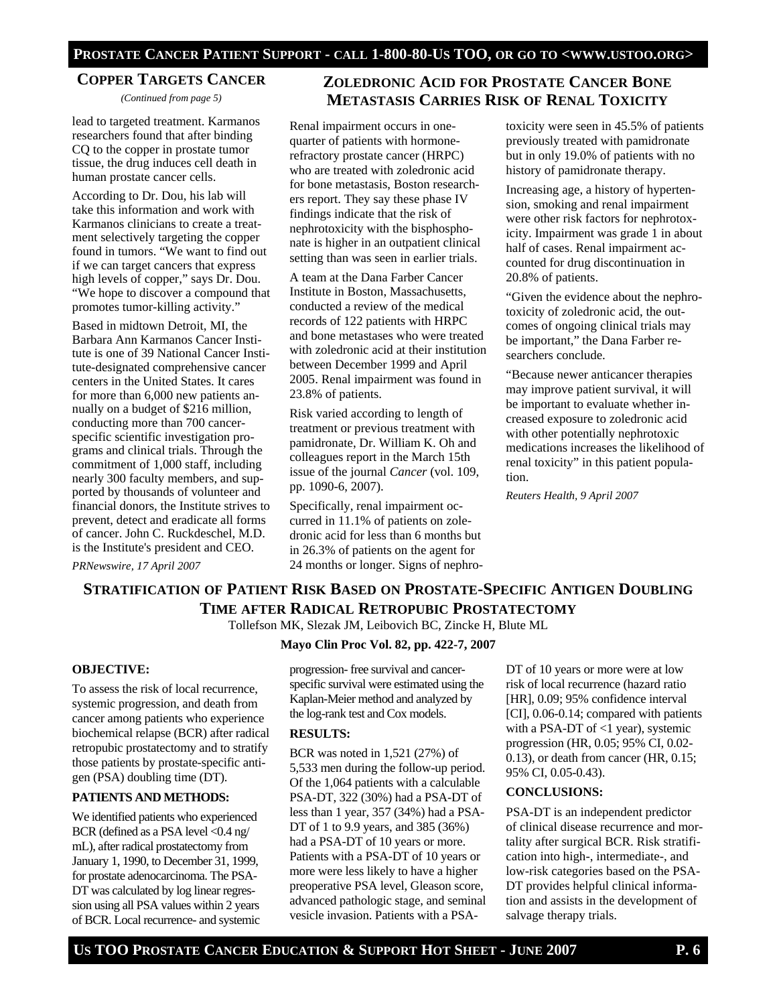Renal impairment occurs in onequarter of patients with hormonerefractory prostate cancer (HRPC) who are treated with zoledronic acid for bone metastasis, Boston researchers report. They say these phase IV findings indicate that the risk of nephrotoxicity with the bisphosphonate is higher in an outpatient clinical setting than was seen in earlier trials. A team at the Dana Farber Cancer Institute in Boston, Massachusetts, conducted a review of the medical records of 122 patients with HRPC and bone metastases who were treated with zoledronic acid at their institution between December 1999 and April 2005. Renal impairment was found in

#### **COPPER TARGETS CANCER**

*(Continued from page 5)* 

lead to targeted treatment. Karmanos researchers found that after binding CQ to the copper in prostate tumor tissue, the drug induces cell death in human prostate cancer cells.

According to Dr. Dou, his lab will take this information and work with Karmanos clinicians to create a treatment selectively targeting the copper found in tumors. "We want to find out if we can target cancers that express high levels of copper," says Dr. Dou. "We hope to discover a compound that promotes tumor-killing activity."

Based in midtown Detroit, MI, the Barbara Ann Karmanos Cancer Institute is one of 39 National Cancer Institute-designated comprehensive cancer centers in the United States. It cares for more than 6,000 new patients annually on a budget of \$216 million, conducting more than 700 cancerspecific scientific investigation programs and clinical trials. Through the commitment of 1,000 staff, including nearly 300 faculty members, and supported by thousands of volunteer and financial donors, the Institute strives to prevent, detect and eradicate all forms of cancer. John C. Ruckdeschel, M.D. is the Institute's president and CEO. *PRNewswire, 17 April 2007* 

#### treatment or previous treatment with pamidronate, Dr. William K. Oh and colleagues report in the March 15th

issue of the journal *Cancer* (vol. 109, pp. 1090-6, 2007). Specifically, renal impairment oc-

23.8% of patients.

curred in 11.1% of patients on zoledronic acid for less than 6 months but in 26.3% of patients on the agent for 24 months or longer. Signs of nephro-

Risk varied according to length of

## **ZOLEDRONIC ACID FOR PROSTATE CANCER BONE METASTASIS CARRIES RISK OF RENAL TOXICITY**

toxicity were seen in 45.5% of patients previously treated with pamidronate but in only 19.0% of patients with no history of pamidronate therapy.

Increasing age, a history of hypertension, smoking and renal impairment were other risk factors for nephrotoxicity. Impairment was grade 1 in about half of cases. Renal impairment accounted for drug discontinuation in 20.8% of patients.

"Given the evidence about the nephrotoxicity of zoledronic acid, the outcomes of ongoing clinical trials may be important," the Dana Farber researchers conclude.

"Because newer anticancer therapies may improve patient survival, it will be important to evaluate whether increased exposure to zoledronic acid with other potentially nephrotoxic medications increases the likelihood of renal toxicity" in this patient population.

*Reuters Health, 9 April 2007* 

## **STRATIFICATION OF PATIENT RISK BASED ON PROSTATE-SPECIFIC ANTIGEN DOUBLING TIME AFTER RADICAL RETROPUBIC PROSTATECTOMY**

Tollefson MK, Slezak JM, Leibovich BC, Zincke H, Blute ML

#### **Mayo Clin Proc Vol. 82, pp. 422-7, 2007**

#### **OBJECTIVE:**

To assess the risk of local recurrence, systemic progression, and death from cancer among patients who experience biochemical relapse (BCR) after radical retropubic prostatectomy and to stratify those patients by prostate-specific antigen (PSA) doubling time (DT).

#### **PATIENTS AND METHODS:**

We identified patients who experienced BCR (defined as a PSA level <0.4 ng/ mL), after radical prostatectomy from January 1, 1990, to December 31, 1999, for prostate adenocarcinoma. The PSA-DT was calculated by log linear regression using all PSA values within 2 years of BCR. Local recurrence- and systemic progression- free survival and cancerspecific survival were estimated using the Kaplan-Meier method and analyzed by the log-rank test and Cox models.

#### **RESULTS:**

BCR was noted in 1,521 (27%) of 5,533 men during the follow-up period. Of the 1,064 patients with a calculable PSA-DT, 322 (30%) had a PSA-DT of less than 1 year, 357 (34%) had a PSA-DT of 1 to 9.9 years, and 385 (36%) had a PSA-DT of 10 years or more. Patients with a PSA-DT of 10 years or more were less likely to have a higher preoperative PSA level, Gleason score, advanced pathologic stage, and seminal vesicle invasion. Patients with a PSA-

DT of 10 years or more were at low risk of local recurrence (hazard ratio [HR], 0.09; 95% confidence interval [CI], 0.06-0.14; compared with patients with a PSA-DT of <1 year), systemic progression (HR, 0.05; 95% CI, 0.02- 0.13), or death from cancer (HR, 0.15; 95% CI, 0.05-0.43).

#### **CONCLUSIONS:**

PSA-DT is an independent predictor of clinical disease recurrence and mortality after surgical BCR. Risk stratification into high-, intermediate-, and low-risk categories based on the PSA-DT provides helpful clinical information and assists in the development of salvage therapy trials.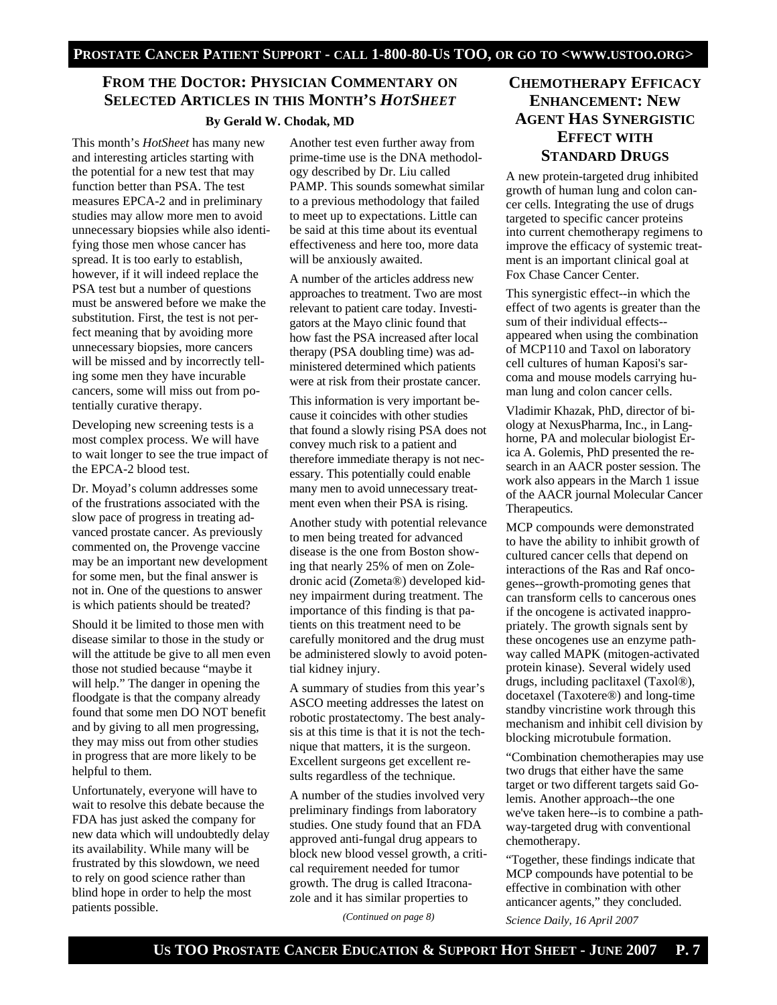## **FROM THE DOCTOR: PHYSICIAN COMMENTARY ON SELECTED ARTICLES IN THIS MONTH'S** *HOTSHEET* **By Gerald W. Chodak, MD**

This month's *HotSheet* has many new and interesting articles starting with the potential for a new test that may function better than PSA. The test measures EPCA-2 and in preliminary studies may allow more men to avoid unnecessary biopsies while also identifying those men whose cancer has spread. It is too early to establish, however, if it will indeed replace the PSA test but a number of questions must be answered before we make the substitution. First, the test is not perfect meaning that by avoiding more unnecessary biopsies, more cancers will be missed and by incorrectly telling some men they have incurable cancers, some will miss out from potentially curative therapy.

Developing new screening tests is a most complex process. We will have to wait longer to see the true impact of the EPCA-2 blood test.

Dr. Moyad's column addresses some of the frustrations associated with the slow pace of progress in treating advanced prostate cancer. As previously commented on, the Provenge vaccine may be an important new development for some men, but the final answer is not in. One of the questions to answer is which patients should be treated?

Should it be limited to those men with disease similar to those in the study or will the attitude be give to all men even those not studied because "maybe it will help." The danger in opening the floodgate is that the company already found that some men DO NOT benefit and by giving to all men progressing, they may miss out from other studies in progress that are more likely to be helpful to them.

Unfortunately, everyone will have to wait to resolve this debate because the FDA has just asked the company for new data which will undoubtedly delay its availability. While many will be frustrated by this slowdown, we need to rely on good science rather than blind hope in order to help the most patients possible.

Another test even further away from prime-time use is the DNA methodology described by Dr. Liu called PAMP. This sounds somewhat similar to a previous methodology that failed to meet up to expectations. Little can be said at this time about its eventual effectiveness and here too, more data will be anxiously awaited.

A number of the articles address new approaches to treatment. Two are most relevant to patient care today. Investigators at the Mayo clinic found that how fast the PSA increased after local therapy (PSA doubling time) was administered determined which patients were at risk from their prostate cancer.

This information is very important because it coincides with other studies that found a slowly rising PSA does not convey much risk to a patient and therefore immediate therapy is not necessary. This potentially could enable many men to avoid unnecessary treatment even when their PSA is rising.

Another study with potential relevance to men being treated for advanced disease is the one from Boston showing that nearly 25% of men on Zoledronic acid (Zometa®) developed kidney impairment during treatment. The importance of this finding is that patients on this treatment need to be carefully monitored and the drug must be administered slowly to avoid potential kidney injury.

A summary of studies from this year's ASCO meeting addresses the latest on robotic prostatectomy. The best analysis at this time is that it is not the technique that matters, it is the surgeon. Excellent surgeons get excellent results regardless of the technique.

A number of the studies involved very preliminary findings from laboratory studies. One study found that an FDA approved anti-fungal drug appears to block new blood vessel growth, a critical requirement needed for tumor growth. The drug is called Itraconazole and it has similar properties to

*(Continued on page 8)* 

## **CHEMOTHERAPY EFFICACY ENHANCEMENT: NEW AGENT HAS SYNERGISTIC EFFECT WITH STANDARD DRUGS**

A new protein-targeted drug inhibited growth of human lung and colon cancer cells. Integrating the use of drugs targeted to specific cancer proteins into current chemotherapy regimens to improve the efficacy of systemic treatment is an important clinical goal at Fox Chase Cancer Center.

This synergistic effect--in which the effect of two agents is greater than the sum of their individual effects- appeared when using the combination of MCP110 and Taxol on laboratory cell cultures of human Kaposi's sarcoma and mouse models carrying human lung and colon cancer cells.

Vladimir Khazak, PhD, director of biology at NexusPharma, Inc., in Langhorne, PA and molecular biologist Erica A. Golemis, PhD presented the research in an AACR poster session. The work also appears in the March 1 issue of the AACR journal Molecular Cancer Therapeutics.

MCP compounds were demonstrated to have the ability to inhibit growth of cultured cancer cells that depend on interactions of the Ras and Raf oncogenes--growth-promoting genes that can transform cells to cancerous ones if the oncogene is activated inappropriately. The growth signals sent by these oncogenes use an enzyme pathway called MAPK (mitogen-activated protein kinase). Several widely used drugs, including paclitaxel (Taxol®), docetaxel (Taxotere®) and long-time standby vincristine work through this mechanism and inhibit cell division by blocking microtubule formation.

"Combination chemotherapies may use two drugs that either have the same target or two different targets said Golemis. Another approach--the one we've taken here--is to combine a pathway-targeted drug with conventional chemotherapy.

"Together, these findings indicate that MCP compounds have potential to be effective in combination with other anticancer agents," they concluded.

*Science Daily, 16 April 2007*